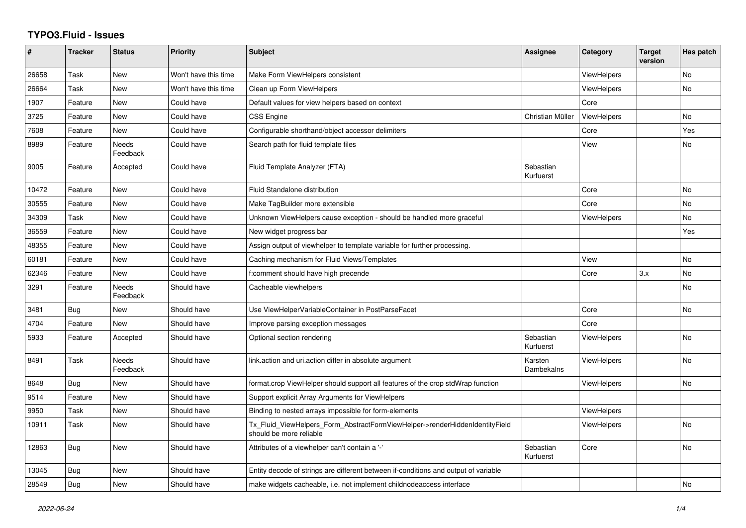## **TYPO3.Fluid - Issues**

| #     | <b>Tracker</b> | <b>Status</b>            | <b>Priority</b>      | Subject                                                                                                | Assignee               | Category           | <b>Target</b><br>version | Has patch      |
|-------|----------------|--------------------------|----------------------|--------------------------------------------------------------------------------------------------------|------------------------|--------------------|--------------------------|----------------|
| 26658 | Task           | New                      | Won't have this time | Make Form ViewHelpers consistent                                                                       |                        | <b>ViewHelpers</b> |                          | No             |
| 26664 | Task           | New                      | Won't have this time | Clean up Form ViewHelpers                                                                              |                        | <b>ViewHelpers</b> |                          | No             |
| 1907  | Feature        | New                      | Could have           | Default values for view helpers based on context                                                       |                        | Core               |                          |                |
| 3725  | Feature        | New                      | Could have           | <b>CSS Engine</b>                                                                                      | Christian Müller       | ViewHelpers        |                          | No             |
| 7608  | Feature        | New                      | Could have           | Configurable shorthand/object accessor delimiters                                                      |                        | Core               |                          | Yes            |
| 8989  | Feature        | Needs<br>Feedback        | Could have           | Search path for fluid template files                                                                   |                        | View               |                          | $\mathsf{No}$  |
| 9005  | Feature        | Accepted                 | Could have           | Fluid Template Analyzer (FTA)                                                                          | Sebastian<br>Kurfuerst |                    |                          |                |
| 10472 | Feature        | New                      | Could have           | Fluid Standalone distribution                                                                          |                        | Core               |                          | <b>No</b>      |
| 30555 | Feature        | New                      | Could have           | Make TagBuilder more extensible                                                                        |                        | Core               |                          | No             |
| 34309 | Task           | New                      | Could have           | Unknown ViewHelpers cause exception - should be handled more graceful                                  |                        | ViewHelpers        |                          | No             |
| 36559 | Feature        | New                      | Could have           | New widget progress bar                                                                                |                        |                    |                          | Yes            |
| 48355 | Feature        | New                      | Could have           | Assign output of viewhelper to template variable for further processing.                               |                        |                    |                          |                |
| 60181 | Feature        | New                      | Could have           | Caching mechanism for Fluid Views/Templates                                                            |                        | View               |                          | No             |
| 62346 | Feature        | New                      | Could have           | f:comment should have high precende                                                                    |                        | Core               | 3.x                      | No             |
| 3291  | Feature        | Needs<br>Feedback        | Should have          | Cacheable viewhelpers                                                                                  |                        |                    |                          | No             |
| 3481  | Bug            | New                      | Should have          | Use ViewHelperVariableContainer in PostParseFacet                                                      |                        | Core               |                          | No             |
| 4704  | Feature        | <b>New</b>               | Should have          | Improve parsing exception messages                                                                     |                        | Core               |                          |                |
| 5933  | Feature        | Accepted                 | Should have          | Optional section rendering                                                                             | Sebastian<br>Kurfuerst | <b>ViewHelpers</b> |                          | No             |
| 8491  | Task           | <b>Needs</b><br>Feedback | Should have          | link.action and uri.action differ in absolute argument                                                 | Karsten<br>Dambekalns  | <b>ViewHelpers</b> |                          | No             |
| 8648  | <b>Bug</b>     | New                      | Should have          | format.crop ViewHelper should support all features of the crop stdWrap function                        |                        | <b>ViewHelpers</b> |                          | N <sub>o</sub> |
| 9514  | Feature        | <b>New</b>               | Should have          | Support explicit Array Arguments for ViewHelpers                                                       |                        |                    |                          |                |
| 9950  | Task           | <b>New</b>               | Should have          | Binding to nested arrays impossible for form-elements                                                  |                        | <b>ViewHelpers</b> |                          |                |
| 10911 | Task           | New                      | Should have          | Tx_Fluid_ViewHelpers_Form_AbstractFormViewHelper->renderHiddenIdentityField<br>should be more reliable |                        | ViewHelpers        |                          | No             |
| 12863 | <b>Bug</b>     | New                      | Should have          | Attributes of a viewhelper can't contain a '-'                                                         | Sebastian<br>Kurfuerst | Core               |                          | No             |
| 13045 | Bug            | New                      | Should have          | Entity decode of strings are different between if-conditions and output of variable                    |                        |                    |                          |                |
| 28549 | Bug            | New                      | Should have          | make widgets cacheable, i.e. not implement childnodeaccess interface                                   |                        |                    |                          | No             |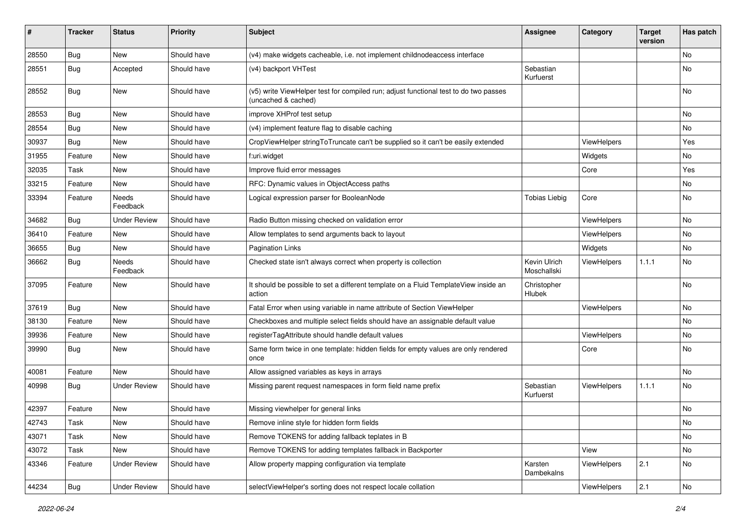| #     | <b>Tracker</b> | <b>Status</b>            | <b>Priority</b> | <b>Subject</b>                                                                                              | <b>Assignee</b>             | Category    | <b>Target</b><br>version | Has patch     |
|-------|----------------|--------------------------|-----------------|-------------------------------------------------------------------------------------------------------------|-----------------------------|-------------|--------------------------|---------------|
| 28550 | Bug            | <b>New</b>               | Should have     | (v4) make widgets cacheable, i.e. not implement childnodeaccess interface                                   |                             |             |                          | No            |
| 28551 | Bug            | Accepted                 | Should have     | (v4) backport VHTest                                                                                        | Sebastian<br>Kurfuerst      |             |                          | No            |
| 28552 | Bug            | <b>New</b>               | Should have     | (v5) write ViewHelper test for compiled run; adjust functional test to do two passes<br>(uncached & cached) |                             |             |                          | <b>No</b>     |
| 28553 | Bug            | <b>New</b>               | Should have     | improve XHProf test setup                                                                                   |                             |             |                          | <b>No</b>     |
| 28554 | Bug            | New                      | Should have     | (v4) implement feature flag to disable caching                                                              |                             |             |                          | No            |
| 30937 | Bug            | New                      | Should have     | CropViewHelper stringToTruncate can't be supplied so it can't be easily extended                            |                             | ViewHelpers |                          | Yes           |
| 31955 | Feature        | New                      | Should have     | f:uri.widget                                                                                                |                             | Widgets     |                          | No            |
| 32035 | Task           | New                      | Should have     | Improve fluid error messages                                                                                |                             | Core        |                          | Yes           |
| 33215 | Feature        | New                      | Should have     | RFC: Dynamic values in ObjectAccess paths                                                                   |                             |             |                          | No            |
| 33394 | Feature        | <b>Needs</b><br>Feedback | Should have     | Logical expression parser for BooleanNode                                                                   | <b>Tobias Liebig</b>        | Core        |                          | No            |
| 34682 | Bug            | <b>Under Review</b>      | Should have     | Radio Button missing checked on validation error                                                            |                             | ViewHelpers |                          | <b>No</b>     |
| 36410 | Feature        | New                      | Should have     | Allow templates to send arguments back to layout                                                            |                             | ViewHelpers |                          | No            |
| 36655 | Bug            | New                      | Should have     | <b>Pagination Links</b>                                                                                     |                             | Widgets     |                          | No            |
| 36662 | <b>Bug</b>     | Needs<br>Feedback        | Should have     | Checked state isn't always correct when property is collection                                              | Kevin Ulrich<br>Moschallski | ViewHelpers | 1.1.1                    | No            |
| 37095 | Feature        | New                      | Should have     | It should be possible to set a different template on a Fluid TemplateView inside an<br>action               | Christopher<br>Hlubek       |             |                          | No            |
| 37619 | Bug            | New                      | Should have     | Fatal Error when using variable in name attribute of Section ViewHelper                                     |                             | ViewHelpers |                          | No            |
| 38130 | Feature        | New                      | Should have     | Checkboxes and multiple select fields should have an assignable default value                               |                             |             |                          | <b>No</b>     |
| 39936 | Feature        | New                      | Should have     | registerTagAttribute should handle default values                                                           |                             | ViewHelpers |                          | No            |
| 39990 | Bug            | New                      | Should have     | Same form twice in one template: hidden fields for empty values are only rendered<br>once                   |                             | Core        |                          | <b>No</b>     |
| 40081 | Feature        | New                      | Should have     | Allow assigned variables as keys in arrays                                                                  |                             |             |                          | <b>No</b>     |
| 40998 | Bug            | <b>Under Review</b>      | Should have     | Missing parent request namespaces in form field name prefix                                                 | Sebastian<br>Kurfuerst      | ViewHelpers | 1.1.1                    | No            |
| 42397 | Feature        | New                      | Should have     | Missing viewhelper for general links                                                                        |                             |             |                          | No            |
| 42743 | Task           | New                      | Should have     | Remove inline style for hidden form fields                                                                  |                             |             |                          | $\mathsf{No}$ |
| 43071 | Task           | New                      | Should have     | Remove TOKENS for adding fallback teplates in B                                                             |                             |             |                          | No            |
| 43072 | Task           | New                      | Should have     | Remove TOKENS for adding templates fallback in Backporter                                                   |                             | View        |                          | No            |
| 43346 | Feature        | <b>Under Review</b>      | Should have     | Allow property mapping configuration via template                                                           | Karsten<br>Dambekalns       | ViewHelpers | 2.1                      | No            |
| 44234 | <b>Bug</b>     | <b>Under Review</b>      | Should have     | selectViewHelper's sorting does not respect locale collation                                                |                             | ViewHelpers | 2.1                      | $\mathsf{No}$ |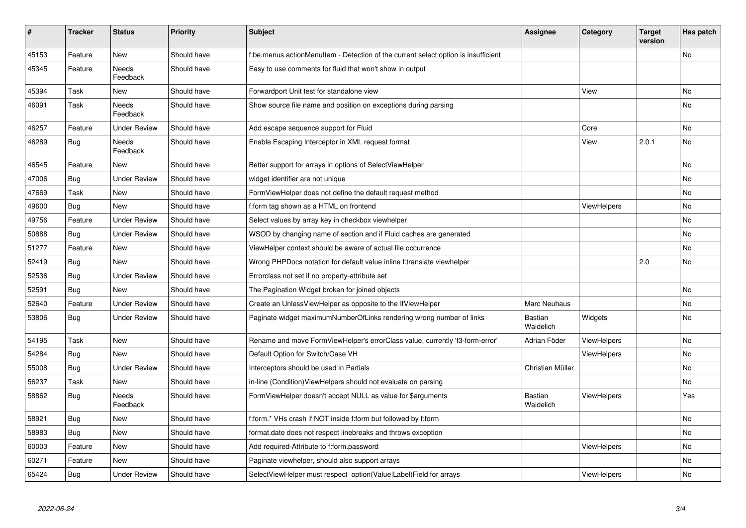| #     | <b>Tracker</b> | <b>Status</b>       | <b>Priority</b> | <b>Subject</b>                                                                     | Assignee             | Category           | <b>Target</b><br>version | Has patch |
|-------|----------------|---------------------|-----------------|------------------------------------------------------------------------------------|----------------------|--------------------|--------------------------|-----------|
| 45153 | Feature        | New                 | Should have     | f:be.menus.actionMenuItem - Detection of the current select option is insufficient |                      |                    |                          | <b>No</b> |
| 45345 | Feature        | Needs<br>Feedback   | Should have     | Easy to use comments for fluid that won't show in output                           |                      |                    |                          |           |
| 45394 | Task           | New                 | Should have     | Forwardport Unit test for standalone view                                          |                      | View               |                          | <b>No</b> |
| 46091 | Task           | Needs<br>Feedback   | Should have     | Show source file name and position on exceptions during parsing                    |                      |                    |                          | No        |
| 46257 | Feature        | <b>Under Review</b> | Should have     | Add escape sequence support for Fluid                                              |                      | Core               |                          | <b>No</b> |
| 46289 | Bug            | Needs<br>Feedback   | Should have     | Enable Escaping Interceptor in XML request format                                  |                      | View               | 2.0.1                    | No        |
| 46545 | Feature        | <b>New</b>          | Should have     | Better support for arrays in options of SelectViewHelper                           |                      |                    |                          | <b>No</b> |
| 47006 | Bug            | <b>Under Review</b> | Should have     | widget identifier are not unique                                                   |                      |                    |                          | No        |
| 47669 | Task           | <b>New</b>          | Should have     | Form View Helper does not define the default request method                        |                      |                    |                          | No        |
| 49600 | Bug            | <b>New</b>          | Should have     | f:form tag shown as a HTML on frontend                                             |                      | <b>ViewHelpers</b> |                          | <b>No</b> |
| 49756 | Feature        | <b>Under Review</b> | Should have     | Select values by array key in checkbox viewhelper                                  |                      |                    |                          | No        |
| 50888 | <b>Bug</b>     | <b>Under Review</b> | Should have     | WSOD by changing name of section and if Fluid caches are generated                 |                      |                    |                          | No        |
| 51277 | Feature        | New                 | Should have     | ViewHelper context should be aware of actual file occurrence                       |                      |                    |                          | No        |
| 52419 | Bug            | <b>New</b>          | Should have     | Wrong PHPDocs notation for default value inline f:translate viewhelper             |                      |                    | 2.0                      | No        |
| 52536 | Bug            | <b>Under Review</b> | Should have     | Errorclass not set if no property-attribute set                                    |                      |                    |                          |           |
| 52591 | Bug            | <b>New</b>          | Should have     | The Pagination Widget broken for joined objects                                    |                      |                    |                          | <b>No</b> |
| 52640 | Feature        | <b>Under Review</b> | Should have     | Create an UnlessViewHelper as opposite to the IfViewHelper                         | <b>Marc Neuhaus</b>  |                    |                          | <b>No</b> |
| 53806 | <b>Bug</b>     | <b>Under Review</b> | Should have     | Paginate widget maximumNumberOfLinks rendering wrong number of links               | Bastian<br>Waidelich | Widgets            |                          | No        |
| 54195 | Task           | New                 | Should have     | Rename and move FormViewHelper's errorClass value, currently 'f3-form-error'       | Adrian Föder         | ViewHelpers        |                          | No        |
| 54284 | Bug            | <b>New</b>          | Should have     | Default Option for Switch/Case VH                                                  |                      | <b>ViewHelpers</b> |                          | <b>No</b> |
| 55008 | Bug            | <b>Under Review</b> | Should have     | Interceptors should be used in Partials                                            | Christian Müller     |                    |                          | No        |
| 56237 | Task           | New                 | Should have     | in-line (Condition) View Helpers should not evaluate on parsing                    |                      |                    |                          | No        |
| 58862 | Bug            | Needs<br>Feedback   | Should have     | FormViewHelper doesn't accept NULL as value for \$arguments                        | Bastian<br>Waidelich | ViewHelpers        |                          | Yes       |
| 58921 | Bug            | New                 | Should have     | f:form.* VHs crash if NOT inside f:form but followed by f:form                     |                      |                    |                          | No        |
| 58983 | Bug            | New                 | Should have     | format.date does not respect linebreaks and throws exception                       |                      |                    |                          | No        |
| 60003 | Feature        | New                 | Should have     | Add required-Attribute to f:form.password                                          |                      | ViewHelpers        |                          | <b>No</b> |
| 60271 | Feature        | New                 | Should have     | Paginate viewhelper, should also support arrays                                    |                      |                    |                          | No        |
| 65424 | <b>Bug</b>     | <b>Under Review</b> | Should have     | SelectViewHelper must respect option(Value Label)Field for arrays                  |                      | ViewHelpers        |                          | <b>No</b> |